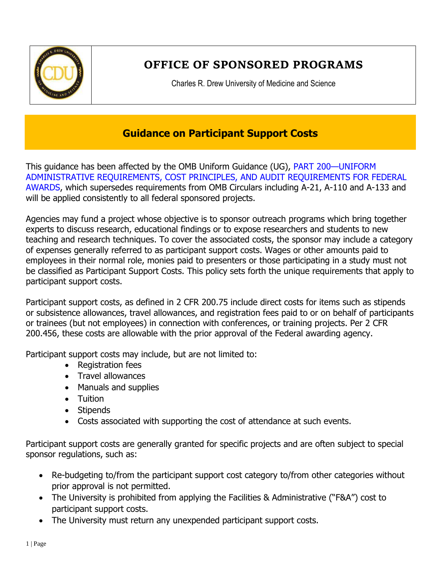

## **OFFICE OF SPONSORED PROGRAMS**

Charles R. Drew University of Medicine and Science

## **Guidance on Participant Support Costs**

This guidance has been affected by the OMB Uniform Guidance (UG), PART 200—UNIFORM ADMINISTRATIVE REQUIREMENTS, COST PRINCIPLES, AND AUDIT REQUIREMENTS FOR FEDERAL AWARDS, which supersedes requirements from OMB Circulars including A-21, A-110 and A-133 and will be applied consistently to all federal sponsored projects.

Agencies may fund a project whose objective is to sponsor outreach programs which bring together experts to discuss research, educational findings or to expose researchers and students to new teaching and research techniques. To cover the associated costs, the sponsor may include a category of expenses generally referred to as participant support costs. Wages or other amounts paid to employees in their normal role, monies paid to presenters or those participating in a study must not be classified as Participant Support Costs. This policy sets forth the unique requirements that apply to participant support costs.

Participant support costs, as defined in 2 CFR 200.75 include direct costs for items such as stipends or subsistence allowances, travel allowances, and registration fees paid to or on behalf of participants or trainees (but not employees) in connection with conferences, or training projects. Per 2 CFR 200.456, these costs are allowable with the prior approval of the Federal awarding agency.

Participant support costs may include, but are not limited to:

- Registration fees
- Travel allowances
- Manuals and supplies
- Tuition
- Stipends
- Costs associated with supporting the cost of attendance at such events.

Participant support costs are generally granted for specific projects and are often subject to special sponsor regulations, such as:

- Re-budgeting to/from the participant support cost category to/from other categories without prior approval is not permitted.
- The University is prohibited from applying the Facilities & Administrative ("F&A") cost to participant support costs.
- The University must return any unexpended participant support costs.